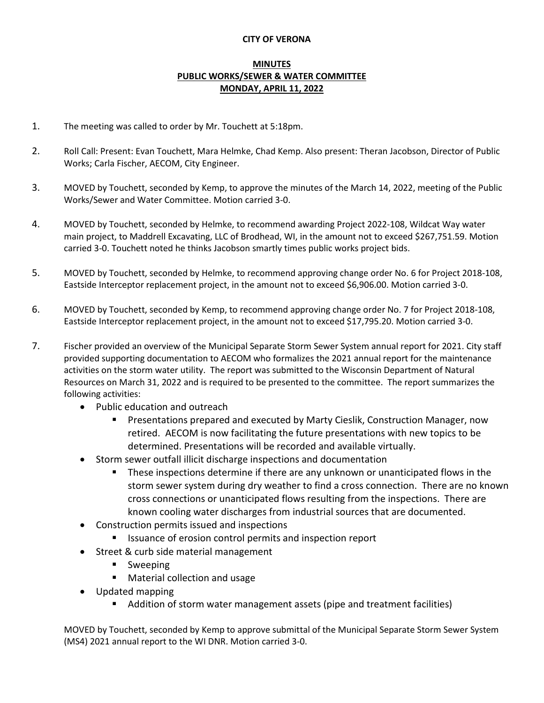## **CITY OF VERONA**

## **MINUTES PUBLIC WORKS/SEWER & WATER COMMITTEE MONDAY, APRIL 11, 2022**

- 1. The meeting was called to order by Mr. Touchett at 5:18pm.
- 2. Roll Call: Present: Evan Touchett, Mara Helmke, Chad Kemp. Also present: Theran Jacobson, Director of Public Works; Carla Fischer, AECOM, City Engineer.
- 3. MOVED by Touchett, seconded by Kemp, to approve the minutes of the March 14, 2022, meeting of the Public Works/Sewer and Water Committee. Motion carried 3-0.
- 4. MOVED by Touchett, seconded by Helmke, to recommend awarding Project 2022-108, Wildcat Way water main project, to Maddrell Excavating, LLC of Brodhead, WI, in the amount not to exceed \$267,751.59. Motion carried 3-0. Touchett noted he thinks Jacobson smartly times public works project bids.
- 5. MOVED by Touchett, seconded by Helmke, to recommend approving change order No. 6 for Project 2018-108, Eastside Interceptor replacement project, in the amount not to exceed \$6,906.00. Motion carried 3-0.
- 6. MOVED by Touchett, seconded by Kemp, to recommend approving change order No. 7 for Project 2018-108, Eastside Interceptor replacement project, in the amount not to exceed \$17,795.20. Motion carried 3-0.
- 7. Fischer provided an overview of the Municipal Separate Storm Sewer System annual report for 2021. City staff provided supporting documentation to AECOM who formalizes the 2021 annual report for the maintenance activities on the storm water utility. The report was submitted to the Wisconsin Department of Natural Resources on March 31, 2022 and is required to be presented to the committee. The report summarizes the following activities:
	- Public education and outreach
		- Presentations prepared and executed by Marty Cieslik, Construction Manager, now retired. AECOM is now facilitating the future presentations with new topics to be determined. Presentations will be recorded and available virtually.
	- Storm sewer outfall illicit discharge inspections and documentation
		- These inspections determine if there are any unknown or unanticipated flows in the storm sewer system during dry weather to find a cross connection. There are no known cross connections or unanticipated flows resulting from the inspections. There are known cooling water discharges from industrial sources that are documented.
	- Construction permits issued and inspections
		- Issuance of erosion control permits and inspection report
	- Street & curb side material management
		- **Sweeping**
		- **Material collection and usage**
	- Updated mapping
		- Addition of storm water management assets (pipe and treatment facilities)

MOVED by Touchett, seconded by Kemp to approve submittal of the Municipal Separate Storm Sewer System (MS4) 2021 annual report to the WI DNR. Motion carried 3-0.